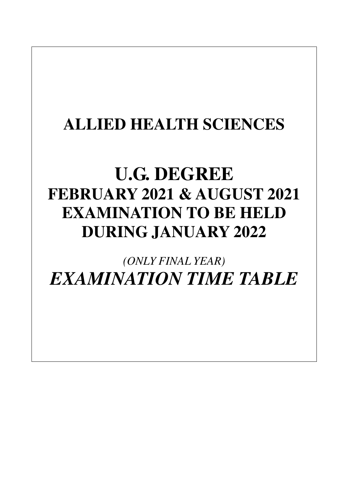## **ALLIED HEALTH SCIENCES**

# **U.G. DEGREE FEBRUARY 2021 & AUGUST 2021 EXAMINATION TO BE HELD DURING JANUARY 2022**

*(ONLY FINAL YEAR) EXAMINATION TIME TABLE*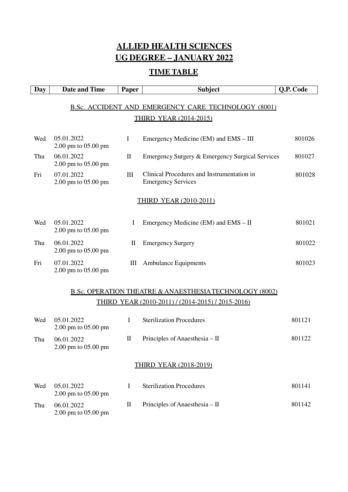## **ALLIED HEALTH SCIENCES UG DEGREE – JANUARY 2022**

## **TIME TABLE**

| <b>Day</b>                                                                                                              | <b>Date and Time</b>              | Paper                           | <b>Subject</b>                                                          | Q.P. Code |  |
|-------------------------------------------------------------------------------------------------------------------------|-----------------------------------|---------------------------------|-------------------------------------------------------------------------|-----------|--|
|                                                                                                                         |                                   |                                 | <b>B.Sc. ACCIDENT AND EMERGENCY CARE TECHNOLOGY (8001)</b>              |           |  |
|                                                                                                                         |                                   |                                 | <b>THIRD YEAR (2014-2015)</b>                                           |           |  |
| Wed                                                                                                                     | 05.01.2022<br>2.00 pm to 05.00 pm | $\bf{I}$                        | Emergency Medicine (EM) and EMS – III                                   | 801026    |  |
| Thu                                                                                                                     | 06.01.2022<br>2.00 pm to 05.00 pm | $\mathbf{I}$                    | Emergency Surgery & Emergency Surgical Services                         | 801027    |  |
| Fri                                                                                                                     | 07.01.2022<br>2.00 pm to 05.00 pm | III                             | Clinical Procedures and Instrumentation in<br><b>Emergency Services</b> | 801028    |  |
|                                                                                                                         |                                   |                                 | <b>THIRD YEAR (2010-2011)</b>                                           |           |  |
| Wed                                                                                                                     | 05.01.2022<br>2.00 pm to 05.00 pm | I                               | Emergency Medicine (EM) and EMS – II                                    | 801021    |  |
| Thu                                                                                                                     | 06.01.2022<br>2.00 pm to 05.00 pm | $\mathop{\mathrm{II}}\nolimits$ | <b>Emergency Surgery</b>                                                | 801022    |  |
| Fri                                                                                                                     | 07.01.2022<br>2.00 pm to 05.00 pm | Ш                               | <b>Ambulance Equipments</b>                                             | 801023    |  |
| <b>B.Sc. OPERATION THEATRE &amp; ANAESTHESIA TECHNOLOGY (8002)</b><br>THIRD YEAR (2010-2011) / (2014-2015) / 2015-2016) |                                   |                                 |                                                                         |           |  |

| Wed | 05.01.2022<br>$2.00 \text{ pm}$ to $05.00 \text{ pm}$ |   | <b>Sterilization Procedures</b> | 801121 |
|-----|-------------------------------------------------------|---|---------------------------------|--------|
| Thu | 06.01.2022<br>$2.00 \text{ pm}$ to $05.00 \text{ pm}$ | П | Principles of Anaesthesia – II  | 801122 |
|     |                                                       |   | <b>THIRD YEAR (2018-2019)</b>   |        |
| Wed | 05.01.2022<br>$2.00 \text{ pm}$ to $05.00 \text{ pm}$ | T | <b>Sterilization Procedures</b> | 801141 |
| Thu | 06.01.2022<br>$2.00 \text{ pm}$ to $05.00 \text{ pm}$ | П | Principles of Anaesthesia – II  | 801142 |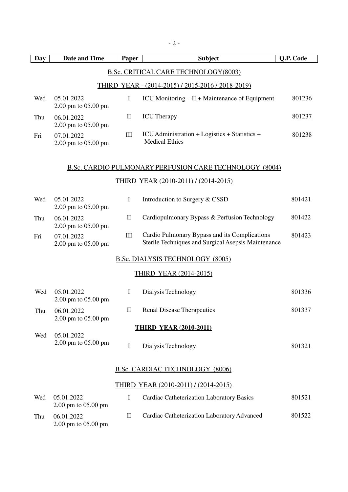| <b>Day</b> | <b>Date and Time</b>                                  | Paper              | <b>Subject</b>                                                                                       | Q.P. Code          |  |  |
|------------|-------------------------------------------------------|--------------------|------------------------------------------------------------------------------------------------------|--------------------|--|--|
|            |                                                       |                    | <b>B.Sc. CRITICAL CARE TECHNOLOGY (8003)</b>                                                         |                    |  |  |
|            |                                                       |                    | <u>THIRD YEAR - (2014-2015) / 2015-2016 / 2018-2019)</u>                                             |                    |  |  |
| Wed        | 05.01.2022<br>2.00 pm to 05.00 pm                     | Ι                  | ICU Monitoring $- II + M$ aintenance of Equipment                                                    | 801236             |  |  |
| Thu        | 06.01.2022<br>2.00 pm to 05.00 pm                     | $\mathbf{I}$       | <b>ICU</b> Therapy                                                                                   | 801237             |  |  |
| Fri        | 07.01.2022<br>2.00 pm to 05.00 pm                     | III                | ICU Administration + Logistics + Statistics +<br><b>Medical Ethics</b>                               | 801238             |  |  |
|            |                                                       |                    | <b>B.Sc. CARDIO PULMONARY PERFUSION CARE TECHNOLOGY (8004)</b>                                       |                    |  |  |
|            |                                                       |                    | THIRD YEAR (2010-2011) / (2014-2015)                                                                 |                    |  |  |
| Wed        | 05.01.2022<br>2.00 pm to 05.00 pm                     | $\bf{I}$           | Introduction to Surgery & CSSD                                                                       | 801421             |  |  |
| Thu        | 06.01.2022<br>2.00 pm to 05.00 pm                     | $\mathbf{I}$       | Cardiopulmonary Bypass & Perfusion Technology                                                        | 801422             |  |  |
| Fri        | 07.01.2022<br>2.00 pm to 05.00 pm                     | $\mathop{\rm III}$ | Cardio Pulmonary Bypass and its Complications<br>Sterile Techniques and Surgical Asepsis Maintenance | 801423             |  |  |
|            |                                                       |                    | <b>B.Sc. DIALYSIS TECHNOLOGY (8005)</b>                                                              |                    |  |  |
|            |                                                       |                    | <u>THIRD YEAR (2014-2015)</u>                                                                        |                    |  |  |
| Wed        | 05.01.2022<br>$2.00 \text{ pm}$ to $05.00 \text{ pm}$ | $\bf{I}$           | Dialysis Technology                                                                                  | 801336             |  |  |
| Thu        | 06.01.2022<br>2.00 pm to 05.00 pm                     | П                  | <b>Renal Disease Therapeutics</b>                                                                    | 801337             |  |  |
|            |                                                       |                    | <b>THIRD YEAR (2010-2011)</b>                                                                        |                    |  |  |
| Wed        | 05.01.2022<br>2.00 pm to 05.00 pm                     | I                  | Dialysis Technology                                                                                  | 801321             |  |  |
|            | <b>B.Sc. CARDIAC TECHNOLOGY (8006)</b>                |                    |                                                                                                      |                    |  |  |
|            |                                                       |                    | <u>THIRD YEAR (2010-2011) / (2014-2015)</u>                                                          |                    |  |  |
| Wed        | 05.01.2022<br>2.00 pm to 05.00 pm                     | Ι                  | Cardiac Catheterization Laboratory Basics                                                            | 801521             |  |  |
|            |                                                       |                    | so Cetheterization Leberatory Advanced                                                               | $0 \cap 15 \cap 2$ |  |  |

Thu 06.01.2022 2.00 pm to 05.00 pm II Cardiac Catheterization Laboratory Advanced 801522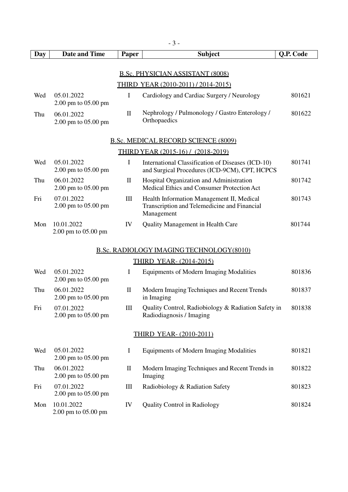|     | $-3-$                                   |              |                                                                                                         |           |  |  |  |
|-----|-----------------------------------------|--------------|---------------------------------------------------------------------------------------------------------|-----------|--|--|--|
| Day | <b>Date and Time</b>                    | Paper        | <b>Subject</b>                                                                                          | Q.P. Code |  |  |  |
|     | <b>B.Sc. PHYSICIAN ASSISTANT (8008)</b> |              |                                                                                                         |           |  |  |  |
|     |                                         |              | <b>THIRD YEAR (2010-2011) / 2014-2015)</b>                                                              |           |  |  |  |
| Wed | 05.01.2022<br>2.00 pm to 05.00 pm       | $\bf{I}$     | Cardiology and Cardiac Surgery / Neurology                                                              | 801621    |  |  |  |
| Thu | 06.01.2022<br>2.00 pm to 05.00 pm       | $\mathbf{I}$ | Nephrology / Pulmonology / Gastro Enterology /<br>Orthopaedics                                          | 801622    |  |  |  |
|     |                                         |              | <b>B.Sc. MEDICAL RECORD SCIENCE (8009)</b>                                                              |           |  |  |  |
|     |                                         |              | THIRD YEAR (2015-16) / (2018-2019)                                                                      |           |  |  |  |
| Wed | 05.01.2022<br>2.00 pm to 05.00 pm       | $\bf{I}$     | International Classification of Diseases (ICD-10)<br>and Surgical Procedures (ICD-9CM), CPT, HCPCS      | 801741    |  |  |  |
| Thu | 06.01.2022<br>2.00 pm to 05.00 pm       | $\mathbf{I}$ | Hospital Organization and Administration<br>Medical Ethics and Consumer Protection Act                  | 801742    |  |  |  |
| Fri | 07.01.2022<br>2.00 pm to 05.00 pm       | Ш            | Health Information Management II, Medical<br>Transcription and Telemedicine and Financial<br>Management | 801743    |  |  |  |
| Mon | 10.01.2022<br>2.00 pm to 05.00 pm       | IV           | <b>Quality Management in Health Care</b>                                                                | 801744    |  |  |  |
|     |                                         |              | <b>B.Sc. RADIOLOGY IMAGING TECHNOLOGY (8010)</b>                                                        |           |  |  |  |
|     |                                         |              | <b>THIRD YEAR- (2014-2015)</b>                                                                          |           |  |  |  |
| Wed | 05.01.2022<br>2.00 pm to 05.00 pm       | I            | Equipments of Modern Imaging Modalities                                                                 | 801836    |  |  |  |
| Thu | 06.01.2022<br>2.00 pm to 05.00 pm       | $\mathbf{I}$ | Modern Imaging Techniques and Recent Trends<br>in Imaging                                               | 801837    |  |  |  |
| Fri | 07.01.2022<br>2.00 pm to 05.00 pm       | Ш            | Quality Control, Radiobiology & Radiation Safety in<br>Radiodiagnosis / Imaging                         | 801838    |  |  |  |
|     |                                         |              | <b>THIRD YEAR- (2010-2011)</b>                                                                          |           |  |  |  |
| Wed | 05.01.2022<br>2.00 pm to 05.00 pm       | I            | Equipments of Modern Imaging Modalities                                                                 | 801821    |  |  |  |
| Thu | 06.01.2022<br>2.00 pm to 05.00 pm       | $\rm II$     | Modern Imaging Techniques and Recent Trends in<br>Imaging                                               | 801822    |  |  |  |
| Fri | 07.01.2022<br>2.00 pm to 05.00 pm       | Ш            | Radiobiology & Radiation Safety                                                                         | 801823    |  |  |  |
| Mon | 10.01.2022<br>2.00 pm to 05.00 pm       | IV           | <b>Quality Control in Radiology</b>                                                                     | 801824    |  |  |  |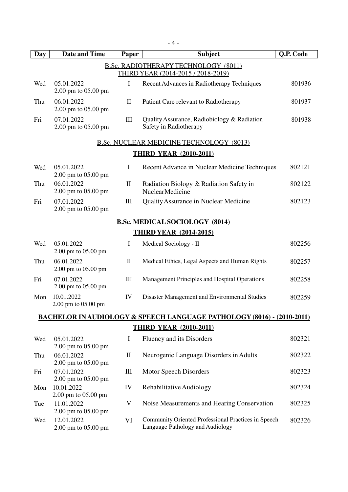| Day | <b>Date and Time</b>              | Paper              | <b>Subject</b>                                                                           | Q.P. Code |
|-----|-----------------------------------|--------------------|------------------------------------------------------------------------------------------|-----------|
|     |                                   |                    |                                                                                          |           |
|     |                                   |                    | <b>B.Sc. RADIOTHERAPY TECHNOLOGY (8011)</b><br><b>THIRD YEAR (2014-2015 / 2018-2019)</b> |           |
| Wed | 05.01.2022<br>2.00 pm to 05.00 pm | I                  | Recent Advances in Radiotherapy Techniques                                               | 801936    |
| Thu | 06.01.2022<br>2.00 pm to 05.00 pm | $\mathbf{I}$       | Patient Care relevant to Radiotherapy                                                    | 801937    |
| Fri | 07.01.2022<br>2.00 pm to 05.00 pm | III                | Quality Assurance, Radiobiology & Radiation<br>Safety in Radiotherapy                    | 801938    |
|     |                                   |                    | <b>B.Sc. NUCLEAR MEDICINE TECHNOLOGY (8013)</b>                                          |           |
|     |                                   |                    | <b>THIRD YEAR (2010-2011)</b>                                                            |           |
| Wed | 05.01.2022<br>2.00 pm to 05.00 pm | I                  | Recent Advance in Nuclear Medicine Techniques                                            | 802121    |
| Thu | 06.01.2022<br>2.00 pm to 05.00 pm | $\mathbf{I}$       | Radiation Biology & Radiation Safety in<br><b>NuclearMedicine</b>                        | 802122    |
| Fri | 07.01.2022<br>2.00 pm to 05.00 pm | $\rm III$          | Quality Assurance in Nuclear Medicine                                                    | 802123    |
|     |                                   |                    | <b>B.Sc. MEDICAL SOCIOLOGY (8014)</b>                                                    |           |
|     |                                   |                    | <b>THIRD YEAR (2014-2015)</b>                                                            |           |
| Wed | 05.01.2022<br>2.00 pm to 05.00 pm | $\mathbf I$        | Medical Sociology - II                                                                   | 802256    |
| Thu | 06.01.2022<br>2.00 pm to 05.00 pm | $\rm II$           | Medical Ethics, Legal Aspects and Human Rights                                           | 802257    |
| Fri | 07.01.2022<br>2.00 pm to 05.00 pm | $\rm III$          | Management Principles and Hospital Operations                                            | 802258    |
| Mon | 10.01.2022<br>2.00 pm to 05.00 pm | IV                 | Disaster Management and Environmental Studies                                            | 802259    |
|     |                                   |                    | <b>BACHELOR IN AUDIOLOGY &amp; SPEECH LANGUAGE PATHOLOGY (8016) - (2010-2011)</b>        |           |
|     |                                   |                    | <b>THIRD YEAR (2010-2011)</b>                                                            |           |
| Wed | 05.01.2022<br>2.00 pm to 05.00 pm | I                  | Fluency and its Disorders                                                                | 802321    |
| Thu | 06.01.2022<br>2.00 pm to 05.00 pm | $\mathbf{I}$       | Neurogenic Language Disorders in Adults                                                  | 802322    |
| Fri | 07.01.2022<br>2.00 pm to 05.00 pm | $\mathop{\rm III}$ | Motor Speech Disorders                                                                   | 802323    |
| Mon | 10.01.2022<br>2.00 pm to 05.00 pm | IV                 | Rehabilitative Audiology                                                                 | 802324    |
| Tue | 11.01.2022<br>2.00 pm to 05.00 pm | V                  | Noise Measurements and Hearing Conservation                                              | 802325    |

Wed 12.01.2022 2.00 pm to 05.00 pm VI Community Oriented Professional Practices in Speech Language Pathology and Audiology 802326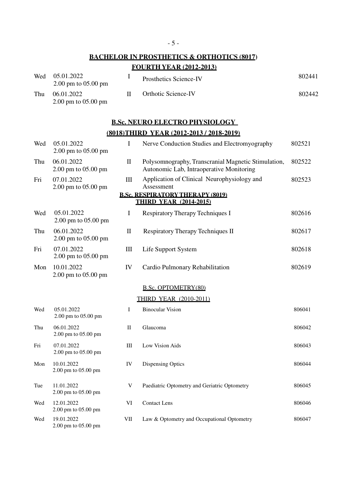### **BACHELOR IN PROSTHETICS & ORTHOTICS (8017) FOURTH YEAR (2012-2013)**

| Wed | 05.01.2022<br>$2.00 \text{ pm}$ to 05.00 pm | Prosthetics Science-IV     | 802441 |
|-----|---------------------------------------------|----------------------------|--------|
| Thu | 06.01.2022<br>$2.00 \text{ pm}$ to 05.00 pm | <b>Orthotic Science-IV</b> | 802442 |

## **B.Sc. NEURO ELECTRO PHYSIOLOGY**

### **(8018) THIRD YEAR (2012-2013 / 2018-2019)**

| Wed | 05.01.2022<br>2.00 pm to 05.00 pm | $\mathbf I$  | Nerve Conduction Studies and Electromyography                                                   | 802521 |
|-----|-----------------------------------|--------------|-------------------------------------------------------------------------------------------------|--------|
| Thu | 06.01.2022<br>2.00 pm to 05.00 pm | $\mathbf{I}$ | Polysomnography, Transcranial Magnetic Stimulation,<br>Autonomic Lab, Intraoperative Monitoring | 802522 |
| Fri | 07.01.2022<br>2.00 pm to 05.00 pm | $\rm III$    | Application of Clinical Neurophysiology and<br>Assessment                                       | 802523 |
|     |                                   |              | <b>B.Sc. RESPIRATORY THERAPY (8019)</b><br><b>THIRD YEAR (2014-2015)</b>                        |        |
| Wed | 05.01.2022<br>2.00 pm to 05.00 pm | I            | Respiratory Therapy Techniques I                                                                | 802616 |
| Thu | 06.01.2022<br>2.00 pm to 05.00 pm | $\mathbf{I}$ | Respiratory Therapy Techniques II                                                               | 802617 |
| Fri | 07.01.2022<br>2.00 pm to 05.00 pm | $\rm III$    | Life Support System                                                                             | 802618 |
| Mon | 10.01.2022<br>2.00 pm to 05.00 pm | IV           | Cardio Pulmonary Rehabilitation                                                                 | 802619 |
|     |                                   |              | <b>B.Sc. OPTOMETRY(80)</b>                                                                      |        |
|     |                                   |              | <b>THIRD YEAR (2010-2011)</b>                                                                   |        |
| Wed | 05.01.2022<br>2.00 pm to 05.00 pm | $\bf I$      | <b>Binocular Vision</b>                                                                         | 806041 |
| Thu | 06.01.2022<br>2.00 pm to 05.00 pm | $\rm II$     | Glaucoma                                                                                        | 806042 |
| Fri | 07.01.2022<br>2.00 pm to 05.00 pm | $\rm III$    | Low Vision Aids                                                                                 | 806043 |
| Mon | 10.01.2022<br>2.00 pm to 05.00 pm | IV           | Dispensing Optics                                                                               | 806044 |
| Tue | 11.01.2022<br>2.00 pm to 05.00 pm | $\mathbf V$  | Paediatric Optometry and Geriatric Optometry                                                    | 806045 |
| Wed | 12.01.2022<br>2.00 pm to 05.00 pm | $\mbox{VI}$  | <b>Contact Lens</b>                                                                             | 806046 |
| Wed | 19.01.2022<br>2.00 pm to 05.00 pm | ${\rm VII}$  | Law & Optometry and Occupational Optometry                                                      | 806047 |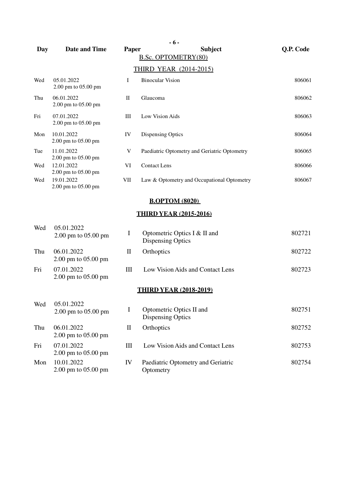| Day | <b>Date and Time</b>              | Paper        | $-6-$<br><b>Subject</b><br>B.Sc. OPTOMETRY(80)           | Q.P. Code |
|-----|-----------------------------------|--------------|----------------------------------------------------------|-----------|
|     |                                   |              | <b>THIRD YEAR (2014-2015)</b>                            |           |
| Wed | 05.01.2022<br>2.00 pm to 05.00 pm | Ι            | <b>Binocular Vision</b>                                  | 806061    |
| Thu | 06.01.2022<br>2.00 pm to 05.00 pm | $\rm _{II}$  | Glaucoma                                                 | 806062    |
| Fri | 07.01.2022<br>2.00 pm to 05.00 pm | Ш            | Low Vision Aids                                          | 806063    |
| Mon | 10.01.2022<br>2.00 pm to 05.00 pm | IV           | <b>Dispensing Optics</b>                                 | 806064    |
| Tue | 11.01.2022<br>2.00 pm to 05.00 pm | V            | Paediatric Optometry and Geriatric Optometry             | 806065    |
| Wed | 12.01.2022<br>2.00 pm to 05.00 pm | VI           | <b>Contact Lens</b>                                      | 806066    |
| Wed | 19.01.2022<br>2.00 pm to 05.00 pm | VII          | Law & Optometry and Occupational Optometry               | 806067    |
|     |                                   |              | <b>B.OPTOM (8020)</b>                                    |           |
|     |                                   |              | <b>THIRD YEAR (2015-2016)</b>                            |           |
| Wed | 05.01.2022<br>2.00 pm to 05.00 pm | I            | Optometric Optics I & II and<br><b>Dispensing Optics</b> | 802721    |
| Thu | 06.01.2022<br>2.00 pm to 05.00 pm | $\mathbf{I}$ | Orthoptics                                               | 802722    |
| Fri | 07.01.2022<br>2.00 pm to 05.00 pm | Ш            | Low Vision Aids and Contact Lens                         | 802723    |
|     |                                   |              | <b>THIRD YEAR (2018-2019)</b>                            |           |
| Wed | 05.01.2022<br>2.00 pm to 05.00 pm | I            | Optometric Optics II and<br><b>Dispensing Optics</b>     | 802751    |
| Thu | 06.01.2022<br>2.00 pm to 05.00 pm | $\mathbf{I}$ | Orthoptics                                               | 802752    |
| Fri | 07.01.2022<br>2.00 pm to 05.00 pm | Ш            | Low Vision Aids and Contact Lens                         | 802753    |
| Mon | 10.01.2022<br>2.00 pm to 05.00 pm | IV           | Paediatric Optometry and Geriatric<br>Optometry          | 802754    |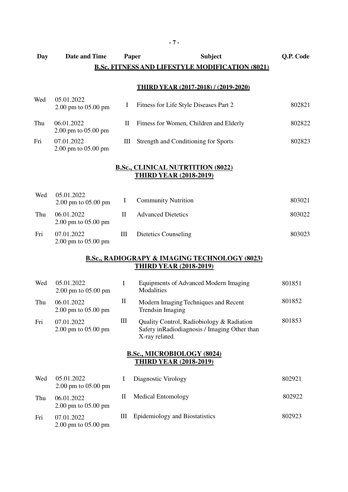#### **Day Date and Time Paper Subject Q.P. Code B.Sc. FITNESS AND LIFESTYLE MODIFICATION (8021)**

#### **THIRD YEAR (2017-2018) / (2019-2020)**

| Wed | 05.01.2022<br>$2.00 \text{ pm}$ to $05.00 \text{ pm}$ |      | Fitness for Life Style Diseases Part 2  | 802821 |
|-----|-------------------------------------------------------|------|-----------------------------------------|--------|
| Thu | 06.01.2022<br>$2.00 \text{ pm}$ to $05.00 \text{ pm}$ | Н    | Fitness for Women, Children and Elderly | 802822 |
| Fri | 07.01.2022<br>$2.00 \text{ pm}$ to $05.00 \text{ pm}$ | HH - | Strength and Conditioning for Sports    | 802823 |

#### **B.Sc., CLINICAL NUTRTITION (8022) THIRD YEAR (2018-2019)**

| Wed | 05.01.2022<br>$2.00 \text{ pm}$ to 05.00 pm           |   | <b>Community Nutrition</b> | 803021 |
|-----|-------------------------------------------------------|---|----------------------------|--------|
| Thu | 06.01.2022<br>$2.00 \text{ pm}$ to $05.00 \text{ pm}$ | Н | <b>Advanced Dietetics</b>  | 803022 |
| Fri | 07.01.2022<br>$2.00 \text{ pm}$ to $05.00 \text{ pm}$ | Ш | Dietetics Counseling       | 803023 |

#### **B.Sc., RADIOGRAPY & IMAGING TECHNOLOGY (8023) THIRD YEAR (2018-2019)**

| Wed | 05.01.2022<br>2.00 pm to 05.00 pm                                  | T                               | Equipments of Advanced Modern Imaging<br>Modalities                                                          | 801851 |  |  |  |
|-----|--------------------------------------------------------------------|---------------------------------|--------------------------------------------------------------------------------------------------------------|--------|--|--|--|
| Thu | 06.01.2022<br>2.00 pm to 05.00 pm                                  | $\mathop{\mathrm{II}}\nolimits$ | Modern Imaging Techniques and Recent<br><b>Trendsin Imaging</b>                                              | 801852 |  |  |  |
| Fri | 07.01.2022<br>$2.00 \text{ pm}$ to $05.00 \text{ pm}$              | Ш                               | Quality Control, Radiobiology & Radiation<br>Safety in Radiodiagnosis / Imaging Other than<br>X-ray related. | 801853 |  |  |  |
|     | <b>B.Sc., MICROBIOLOGY (8024)</b><br><b>THIRD YEAR (2018-2019)</b> |                                 |                                                                                                              |        |  |  |  |
| Wed | 05.01.2022<br>2.00 pm to 05.00 pm                                  | I                               | Diagnostic Virology                                                                                          | 802921 |  |  |  |
| Thu | 06.01.2022<br>$2.00 \text{ pm}$ to $05.00 \text{ pm}$              | П                               | <b>Medical Entomology</b>                                                                                    | 802922 |  |  |  |
| Fri | 07.01.2022                                                         | Ш                               | Epidemiology and Biostatistics                                                                               | 802923 |  |  |  |

2.00 pm to 05.00 pm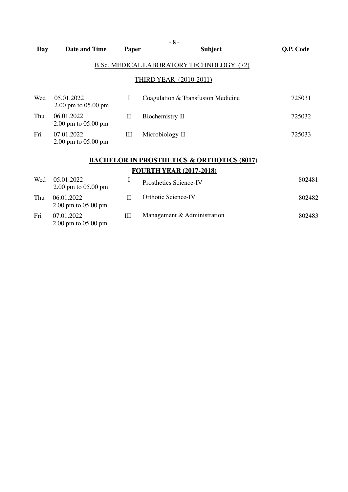|     |                                                       |       | $-8-$                                           |           |
|-----|-------------------------------------------------------|-------|-------------------------------------------------|-----------|
| Day | Date and Time                                         | Paper | <b>Subject</b>                                  | Q.P. Code |
|     |                                                       |       | <b>B.Sc. MEDICAL LABORATORY TECHNOLOGY (72)</b> |           |
|     |                                                       |       | THIRD YEAR (2010-2011)                          |           |
| Wed | 05.01.2022<br>$2.00 \text{ pm}$ to $05.00 \text{ pm}$ | I     | Coagulation & Transfusion Medicine              | 725031    |
| Thu | 06.01.2022<br>2.00 pm to 05.00 pm                     | П     | Biochemistry-II                                 | 725032    |
| Fri | 07.01.2022<br>$2.00 \text{ pm}$ to $05.00 \text{ pm}$ | Ш     | Microbiology-II                                 | 725033    |

## **BACHELOR IN PROSTHETICS & ORTHOTICS (8017) FOURTH YEAR (2017-2018)**

| Wed | 05.01.2022<br>$2.00 \text{ pm}$ to $05.00 \text{ pm}$ |   | Prosthetics Science-IV      | 802481 |
|-----|-------------------------------------------------------|---|-----------------------------|--------|
| Thu | 06.01.2022<br>$2.00 \text{ pm}$ to $05.00 \text{ pm}$ |   | <b>Orthotic Science-IV</b>  | 802482 |
| Fri | 07.01.2022<br>$2.00 \text{ pm}$ to $05.00 \text{ pm}$ | Ш | Management & Administration | 802483 |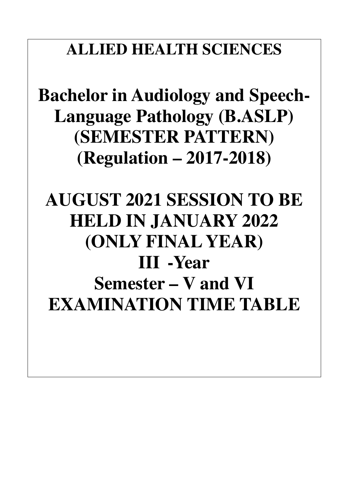## **ALLIED HEALTH SCIENCES**

**Bachelor in Audiology and Speech-Language Pathology (B.ASLP) (SEMESTER PATTERN) (Regulation – 2017-2018)** 

# **AUGUST 2021 SESSION TO BE HELD IN JANUARY 2022 (ONLY FINAL YEAR) III -Year Semester – V and VI EXAMINATION TIME TABLE**